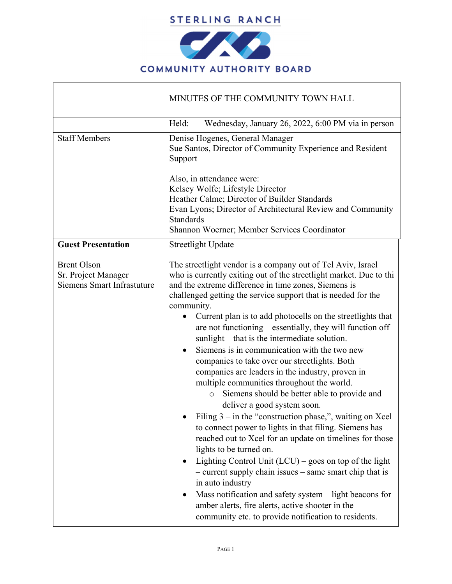

| Held:<br>Wednesday, January 26, 2022, 6:00 PM via in person<br>Denise Hogenes, General Manager<br>Sue Santos, Director of Community Experience and Resident<br>Support<br>Also, in attendance were:                                                                                                                                                                                                                                                                                                                                                                                                                                                                                                                                                                                                                                                                                                                                                                                                                                                                                                                                                                                                                        |
|----------------------------------------------------------------------------------------------------------------------------------------------------------------------------------------------------------------------------------------------------------------------------------------------------------------------------------------------------------------------------------------------------------------------------------------------------------------------------------------------------------------------------------------------------------------------------------------------------------------------------------------------------------------------------------------------------------------------------------------------------------------------------------------------------------------------------------------------------------------------------------------------------------------------------------------------------------------------------------------------------------------------------------------------------------------------------------------------------------------------------------------------------------------------------------------------------------------------------|
|                                                                                                                                                                                                                                                                                                                                                                                                                                                                                                                                                                                                                                                                                                                                                                                                                                                                                                                                                                                                                                                                                                                                                                                                                            |
|                                                                                                                                                                                                                                                                                                                                                                                                                                                                                                                                                                                                                                                                                                                                                                                                                                                                                                                                                                                                                                                                                                                                                                                                                            |
| Kelsey Wolfe; Lifestyle Director<br>Heather Calme; Director of Builder Standards<br>Evan Lyons; Director of Architectural Review and Community<br><b>Standards</b><br>Shannon Woerner; Member Services Coordinator                                                                                                                                                                                                                                                                                                                                                                                                                                                                                                                                                                                                                                                                                                                                                                                                                                                                                                                                                                                                         |
| <b>Streetlight Update</b>                                                                                                                                                                                                                                                                                                                                                                                                                                                                                                                                                                                                                                                                                                                                                                                                                                                                                                                                                                                                                                                                                                                                                                                                  |
| The streetlight vendor is a company out of Tel Aviv, Israel<br>who is currently exiting out of the streetlight market. Due to thi<br>and the extreme difference in time zones, Siemens is<br>challenged getting the service support that is needed for the<br>community.<br>Current plan is to add photocells on the streetlights that<br>are not functioning – essentially, they will function off<br>sunlight – that is the intermediate solution.<br>Siemens is in communication with the two new<br>companies to take over our streetlights. Both<br>companies are leaders in the industry, proven in<br>multiple communities throughout the world.<br>Siemens should be better able to provide and<br>$\circ$<br>deliver a good system soon.<br>Filing $3 -$ in the "construction phase,", waiting on Xcel<br>to connect power to lights in that filing. Siemens has<br>reached out to Xcel for an update on timelines for those<br>lights to be turned on.<br>Lighting Control Unit $(LCU)$ – goes on top of the light<br>- current supply chain issues - same smart chip that is<br>in auto industry<br>Mass notification and safety system – light beacons for<br>amber alerts, fire alerts, active shooter in the |
|                                                                                                                                                                                                                                                                                                                                                                                                                                                                                                                                                                                                                                                                                                                                                                                                                                                                                                                                                                                                                                                                                                                                                                                                                            |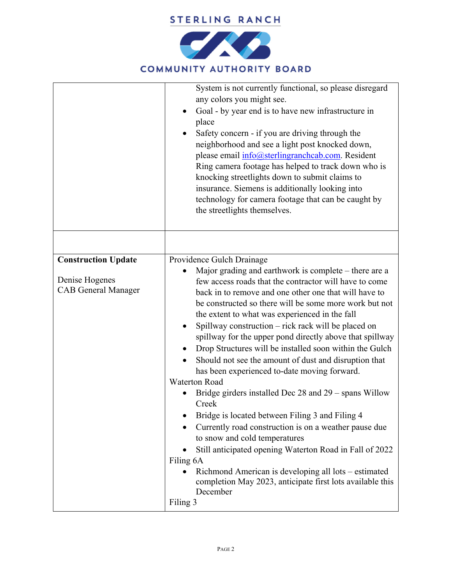

|                                                                            | System is not currently functional, so please disregard<br>any colors you might see.<br>Goal - by year end is to have new infrastructure in<br>place<br>Safety concern - if you are driving through the<br>neighborhood and see a light post knocked down,<br>please email info@sterlingranchcab.com. Resident<br>Ring camera footage has helped to track down who is<br>knocking streetlights down to submit claims to<br>insurance. Siemens is additionally looking into<br>technology for camera footage that can be caught by<br>the streetlights themselves.                                                                                                                                                                                                                                                                                                                                                                                                                                                                                                                                               |
|----------------------------------------------------------------------------|-----------------------------------------------------------------------------------------------------------------------------------------------------------------------------------------------------------------------------------------------------------------------------------------------------------------------------------------------------------------------------------------------------------------------------------------------------------------------------------------------------------------------------------------------------------------------------------------------------------------------------------------------------------------------------------------------------------------------------------------------------------------------------------------------------------------------------------------------------------------------------------------------------------------------------------------------------------------------------------------------------------------------------------------------------------------------------------------------------------------|
|                                                                            |                                                                                                                                                                                                                                                                                                                                                                                                                                                                                                                                                                                                                                                                                                                                                                                                                                                                                                                                                                                                                                                                                                                 |
| <b>Construction Update</b><br>Denise Hogenes<br><b>CAB</b> General Manager | Providence Gulch Drainage<br>Major grading and earthwork is complete – there are a<br>few access roads that the contractor will have to come<br>back in to remove and one other one that will have to<br>be constructed so there will be some more work but not<br>the extent to what was experienced in the fall<br>Spillway construction – rick rack will be placed on<br>$\bullet$<br>spillway for the upper pond directly above that spillway<br>Drop Structures will be installed soon within the Gulch<br>Should not see the amount of dust and disruption that<br>$\bullet$<br>has been experienced to-date moving forward.<br><b>Waterton Road</b><br>Bridge girders installed Dec $28$ and $29$ – spans Willow<br>Creek<br>Bridge is located between Filing 3 and Filing 4<br>Currently road construction is on a weather pause due<br>to snow and cold temperatures<br>Still anticipated opening Waterton Road in Fall of 2022<br>Filing 6A<br>Richmond American is developing all lots – estimated<br>$\bullet$<br>completion May 2023, anticipate first lots available this<br>December<br>Filing 3 |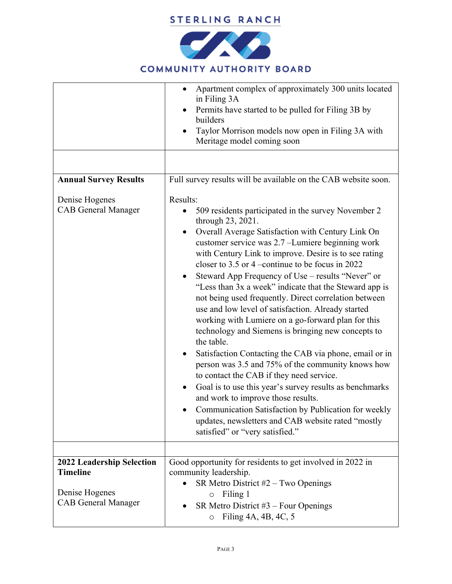

## **COMMUNITY AUTHORITY BOARD**

|                                                                 | Apartment complex of approximately 300 units located<br>$\bullet$<br>in Filing 3A<br>Permits have started to be pulled for Filing 3B by<br>$\bullet$<br>builders<br>Taylor Morrison models now open in Filing 3A with<br>Meritage model coming soon                                                                                                                                                                                                                                                                                                                                                                                                                                                                                                                                                                                                                                                                                                                                                                                                                                                                       |
|-----------------------------------------------------------------|---------------------------------------------------------------------------------------------------------------------------------------------------------------------------------------------------------------------------------------------------------------------------------------------------------------------------------------------------------------------------------------------------------------------------------------------------------------------------------------------------------------------------------------------------------------------------------------------------------------------------------------------------------------------------------------------------------------------------------------------------------------------------------------------------------------------------------------------------------------------------------------------------------------------------------------------------------------------------------------------------------------------------------------------------------------------------------------------------------------------------|
|                                                                 |                                                                                                                                                                                                                                                                                                                                                                                                                                                                                                                                                                                                                                                                                                                                                                                                                                                                                                                                                                                                                                                                                                                           |
| <b>Annual Survey Results</b>                                    | Full survey results will be available on the CAB website soon.                                                                                                                                                                                                                                                                                                                                                                                                                                                                                                                                                                                                                                                                                                                                                                                                                                                                                                                                                                                                                                                            |
| Denise Hogenes<br><b>CAB</b> General Manager                    | Results:<br>509 residents participated in the survey November 2<br>through 23, 2021.<br>Overall Average Satisfaction with Century Link On<br>$\bullet$<br>customer service was 2.7 - Lumiere beginning work<br>with Century Link to improve. Desire is to see rating<br>closer to 3.5 or 4 –continue to be focus in $2022$<br>Steward App Frequency of Use - results "Never" or<br>$\bullet$<br>"Less than 3x a week" indicate that the Steward app is<br>not being used frequently. Direct correlation between<br>use and low level of satisfaction. Already started<br>working with Lumiere on a go-forward plan for this<br>technology and Siemens is bringing new concepts to<br>the table.<br>Satisfaction Contacting the CAB via phone, email or in<br>$\bullet$<br>person was 3.5 and 75% of the community knows how<br>to contact the CAB if they need service.<br>Goal is to use this year's survey results as benchmarks<br>and work to improve those results.<br>Communication Satisfaction by Publication for weekly<br>updates, newsletters and CAB website rated "mostly<br>satisfied" or "very satisfied." |
| 2022 Leadership Selection                                       | Good opportunity for residents to get involved in 2022 in                                                                                                                                                                                                                                                                                                                                                                                                                                                                                                                                                                                                                                                                                                                                                                                                                                                                                                                                                                                                                                                                 |
| <b>Timeline</b><br>Denise Hogenes<br><b>CAB General Manager</b> | community leadership.<br>SR Metro District #2 - Two Openings<br>$\bullet$<br>Filing 1<br>$\circ$<br>SR Metro District $#3$ – Four Openings<br>Filing 4A, 4B, 4C, 5<br>$\circ$                                                                                                                                                                                                                                                                                                                                                                                                                                                                                                                                                                                                                                                                                                                                                                                                                                                                                                                                             |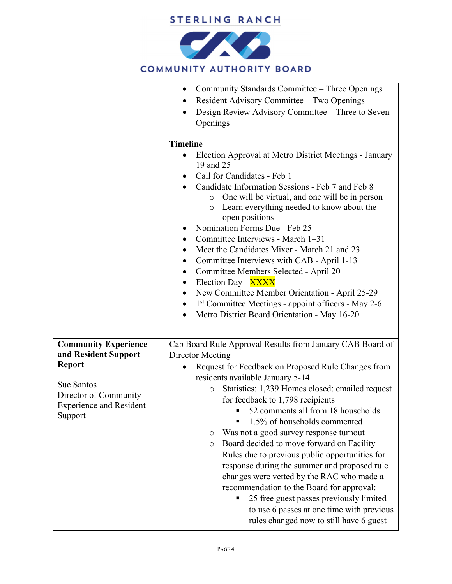

## **COMMUNITY AUTHORITY BOARD**

|                                                                                                                                                          | Community Standards Committee – Three Openings<br>$\bullet$<br>Resident Advisory Committee – Two Openings<br>Design Review Advisory Committee – Three to Seven<br>Openings<br><b>Timeline</b><br>Election Approval at Metro District Meetings - January<br>19 and 25<br>Call for Candidates - Feb 1<br>Candidate Information Sessions - Feb 7 and Feb 8<br>One will be virtual, and one will be in person<br>$\circ$<br>Learn everything needed to know about the<br>$\circ$<br>open positions<br>Nomination Forms Due - Feb 25<br>Committee Interviews - March 1-31<br>Meet the Candidates Mixer - March 21 and 23<br>Committee Interviews with CAB - April 1-13<br>Committee Members Selected - April 20<br>$\bullet$<br>Election Day - XXXX<br>$\bullet$<br>New Committee Member Orientation - April 25-29<br>1 <sup>st</sup> Committee Meetings - appoint officers - May 2-6<br>٠<br>Metro District Board Orientation - May 16-20<br>$\bullet$ |
|----------------------------------------------------------------------------------------------------------------------------------------------------------|----------------------------------------------------------------------------------------------------------------------------------------------------------------------------------------------------------------------------------------------------------------------------------------------------------------------------------------------------------------------------------------------------------------------------------------------------------------------------------------------------------------------------------------------------------------------------------------------------------------------------------------------------------------------------------------------------------------------------------------------------------------------------------------------------------------------------------------------------------------------------------------------------------------------------------------------------|
| <b>Community Experience</b><br>and Resident Support<br><b>Report</b><br>Sue Santos<br>Director of Community<br><b>Experience and Resident</b><br>Support | Cab Board Rule Approval Results from January CAB Board of<br>Director Meeting<br>Request for Feedback on Proposed Rule Changes from<br>residents available January 5-14<br>Statistics: 1,239 Homes closed; emailed request<br>$\circ$<br>for feedback to 1,798 recipients<br>52 comments all from 18 households<br>1.5% of households commented<br>Was not a good survey response turnout<br>O<br>Board decided to move forward on Facility<br>$\circ$<br>Rules due to previous public opportunities for<br>response during the summer and proposed rule<br>changes were vetted by the RAC who made a<br>recommendation to the Board for approval:<br>25 free guest passes previously limited<br>to use 6 passes at one time with previous<br>rules changed now to still have 6 guest                                                                                                                                                              |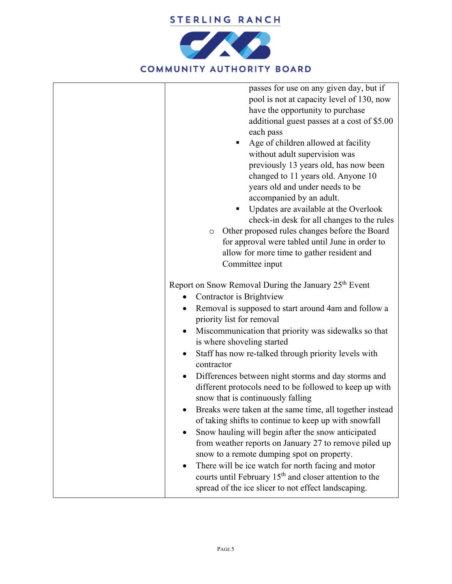

| passes for use on any given day, but if<br>pool is not at capacity level of 130, now<br>have the opportunity to purchase<br>additional guest passes at a cost of \$5.00<br>each pass<br>Age of children allowed at facility<br>without adult supervision was<br>previously 13 years old, has now been<br>changed to 11 years old. Anyone 10<br>years old and under needs to be<br>accompanied by an adult.<br>Updates are available at the Overlook<br>п<br>check-in desk for all changes to the rules<br>Other proposed rules changes before the Board<br>O<br>for approval were tabled until June in order to<br>allow for more time to gather resident and<br>Committee input<br>Report on Snow Removal During the January 25 <sup>th</sup> Event<br>Contractor is Brightview |
|----------------------------------------------------------------------------------------------------------------------------------------------------------------------------------------------------------------------------------------------------------------------------------------------------------------------------------------------------------------------------------------------------------------------------------------------------------------------------------------------------------------------------------------------------------------------------------------------------------------------------------------------------------------------------------------------------------------------------------------------------------------------------------|
| Removal is supposed to start around 4am and follow a<br>priority list for removal                                                                                                                                                                                                                                                                                                                                                                                                                                                                                                                                                                                                                                                                                                |
| Miscommunication that priority was sidewalks so that<br>is where shoveling started                                                                                                                                                                                                                                                                                                                                                                                                                                                                                                                                                                                                                                                                                               |
| Staff has now re-talked through priority levels with<br>contractor                                                                                                                                                                                                                                                                                                                                                                                                                                                                                                                                                                                                                                                                                                               |
| Differences between night storms and day storms and<br>different protocols need to be followed to keep up with<br>snow that is continuously falling                                                                                                                                                                                                                                                                                                                                                                                                                                                                                                                                                                                                                              |
| Breaks were taken at the same time, all together instead<br>of taking shifts to continue to keep up with snowfall<br>Snow hauling will begin after the snow anticipated<br>from weather reports on January 27 to remove piled up<br>snow to a remote dumping spot on property.                                                                                                                                                                                                                                                                                                                                                                                                                                                                                                   |
| There will be ice watch for north facing and motor<br>courts until February 15 <sup>th</sup> and closer attention to the<br>spread of the ice slicer to not effect landscaping.                                                                                                                                                                                                                                                                                                                                                                                                                                                                                                                                                                                                  |